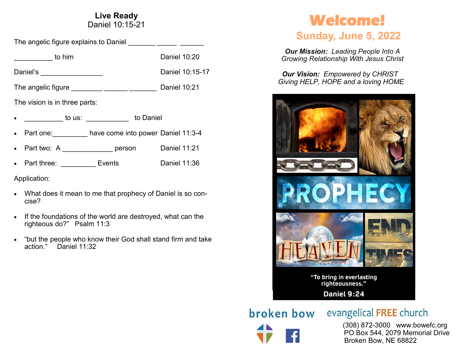#### **Live Ready** Daniel 10:15-21

The angelic figure explains to Daniel \_\_\_\_\_\_\_ \_\_\_\_\_ \_\_\_\_\_\_

| to him                        | Daniel 10:20        |
|-------------------------------|---------------------|
| Daniel's                      | Daniel 10:15-17     |
| The angelic figure            | <b>Daniel 10:21</b> |
| The vision is in three parts: |                     |
|                               |                     |

- \_\_\_\_\_\_\_\_\_\_ to us: \_\_\_\_\_\_\_\_\_\_\_ to Daniel
- Part one: have come into power Daniel 11:3-4
- Part two: A \_\_\_\_\_\_\_\_\_\_\_\_\_\_\_ person Daniel 11:21
- Part three: Events Daniel 11:36

Application:

- What does it mean to me that prophecy of Daniel is so concise?
- If the foundations of the world are destroyed, what can the righteous do?" Psalm 11:3
- "but the people who know their God shall stand firm and take action." Daniel 11:32

# **Welcome!**

## **Sunday, June 5, 2022**

*Our Mission: Leading People Into A Growing Relationship With Jesus Christ*

*Our Vision: Empowered by CHRIST Giving HELP, HOPE and a loving HOME*



**broken bow** evangelical FREE church

 (308) 872-3000 www.bowefc.org PO Box 544, 2079 Memorial Drive Broken Bow, NE 68822